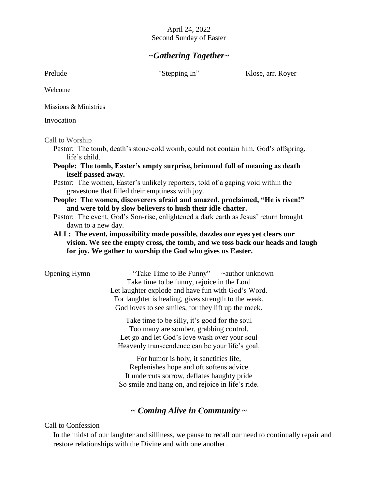#### April 24, 2022 Second Sunday of Easter

## *~Gathering Together~*

Prelude "Stepping In" Klose, arr. Royer

Welcome

Missions & Ministries

Invocation

Call to Worship

Pastor: The tomb, death's stone-cold womb, could not contain him, God's offspring, life's child.

**People: The tomb, Easter's empty surprise, brimmed full of meaning as death itself passed away.** 

Pastor: The women, Easter's unlikely reporters, told of a gaping void within the gravestone that filled their emptiness with joy.

**People: The women, discoverers afraid and amazed, proclaimed, "He is risen!" and were told by slow believers to hush their idle chatter.** 

Pastor: The event, God's Son-rise, enlightened a dark earth as Jesus' return brought dawn to a new day.

**ALL: The event, impossibility made possible, dazzles our eyes yet clears our vision. We see the empty cross, the tomb, and we toss back our heads and laugh for joy. We gather to worship the God who gives us Easter.** 

Opening Hymn **Take Time to Be Funny**  $\sim$  author unknown Take time to be funny, rejoice in the Lord Let laughter explode and have fun with God's Word. For laughter is healing, gives strength to the weak. God loves to see smiles, for they lift up the meek.

> Take time to be silly, it's good for the soul Too many are somber, grabbing control. Let go and let God's love wash over your soul Heavenly transcendence can be your life's goal.

> For humor is holy, it sanctifies life, Replenishes hope and oft softens advice It undercuts sorrow, deflates haughty pride So smile and hang on, and rejoice in life's ride.

## *~ Coming Alive in Community ~*

Call to Confession

In the midst of our laughter and silliness, we pause to recall our need to continually repair and restore relationships with the Divine and with one another.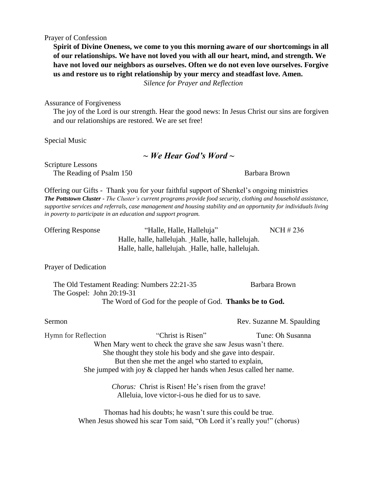Prayer of Confession

**Spirit of Divine Oneness, we come to you this morning aware of our shortcomings in all of our relationships. We have not loved you with all our heart, mind, and strength. We have not loved our neighbors as ourselves. Often we do not even love ourselves. Forgive us and restore us to right relationship by your mercy and steadfast love. Amen.**

*Silence for Prayer and Reflection*

Assurance of Forgiveness

The joy of the Lord is our strength. Hear the good news: In Jesus Christ our sins are forgiven and our relationships are restored. We are set free!

Special Music

## *~ We Hear God's Word ~*

Scripture Lessons The Reading of Psalm 150 Barbara Brown

Offering our Gifts - Thank you for your faithful support of Shenkel's ongoing ministries *The Pottstown Cluster - The Cluster's current programs provide food security, clothing and household assistance, supportive services and referrals, case management and housing stability and an opportunity for individuals living in poverty to participate in an education and support program.*

Offering Response "Halle, Halle, Halleluja" NCH # 236 Halle, halle, hallelujah. Halle, halle, hallelujah. Halle, halle, hallelujah. Halle, halle, hallelujah.

Prayer of Dedication

The Old Testament Reading: Numbers 22:21-35 Barbara Brown The Gospel: John 20:19-31 The Word of God for the people of God. **Thanks be to God.**

Sermon Rev. Suzanne M. Spaulding

Hymn for Reflection "Christ is Risen" Tune: Oh Susanna When Mary went to check the grave she saw Jesus wasn't there. She thought they stole his body and she gave into despair. But then she met the angel who started to explain, She jumped with joy & clapped her hands when Jesus called her name.

> *Chorus:* Christ is Risen! He's risen from the grave! Alleluia, love victor-i-ous he died for us to save.

Thomas had his doubts; he wasn't sure this could be true. When Jesus showed his scar Tom said, "Oh Lord it's really you!" (chorus)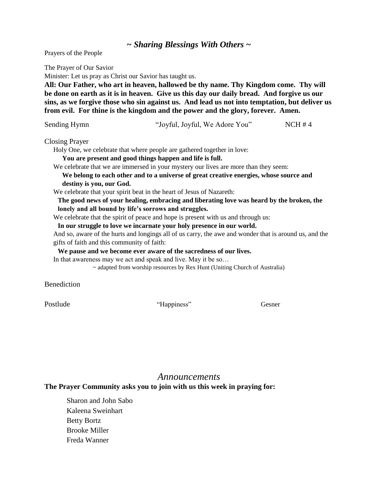### *~ Sharing Blessings With Others ~*

Prayers of the People

The Prayer of Our Savior

Minister: Let us pray as Christ our Savior has taught us.

**All: Our Father, who art in heaven, hallowed be thy name. Thy Kingdom come. Thy will be done on earth as it is in heaven. Give us this day our daily bread. And forgive us our sins, as we forgive those who sin against us. And lead us not into temptation, but deliver us from evil. For thine is the kingdom and the power and the glory, forever. Amen.**

| Sending Hymn | "Joyful, Joyful, We Adore You" | NCH#4 |
|--------------|--------------------------------|-------|
|              |                                |       |

Closing Prayer

Holy One, we celebrate that where people are gathered together in love:

**You are present and good things happen and life is full.**

We celebrate that we are immersed in your mystery our lives are more than they seem:

**We belong to each other and to a universe of great creative energies, whose source and destiny is you, our God.**

We celebrate that your spirit beat in the heart of Jesus of Nazareth:

**The good news of your healing, embracing and liberating love was heard by the broken, the lonely and all bound by life's sorrows and struggles.**

We celebrate that the spirit of peace and hope is present with us and through us:

**In our struggle to love we incarnate your holy presence in our world.**

And so, aware of the hurts and longings all of us carry, the awe and wonder that is around us, and the gifts of faith and this community of faith:

**We pause and we become ever aware of the sacredness of our lives.**

In that awareness may we act and speak and live. May it be so...

 $\sim$  adapted from worship resources by Rex Hunt (Uniting Church of Australia)

**Benediction** 

Postlude **The Contract of Contract Contract Contract Contract Contract Contract Contract Contract Contract Contract Contract Contract Contract Contract Contract Contract Contract Contract Contract Contract Contract Contrac** 

#### *Announcements*

#### **The Prayer Community asks you to join with us this week in praying for:**

Sharon and John Sabo Kaleena Sweinhart Betty Bortz Brooke Miller Freda Wanner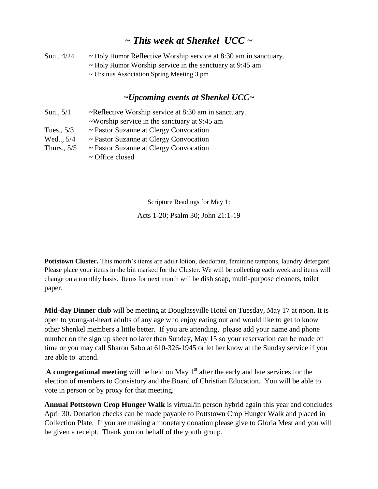# *~ This week at Shenkel UCC ~*

| Sun., 4/24 | $\sim$ Holy Humor Reflective Worship service at 8:30 am in sanctuary. |
|------------|-----------------------------------------------------------------------|
|            | $\sim$ Holy Humor Worship service in the sanctuary at 9:45 am         |
|            | $\sim$ Ursinus Association Spring Meeting 3 pm                        |

## *~Upcoming events at Shenkel UCC~*

| Sun., $5/1$  | $\sim$ Reflective Worship service at 8:30 am in sanctuary.          |
|--------------|---------------------------------------------------------------------|
|              | $\sim$ Worship service in the sanctuary at 9:45 am                  |
| Tues., $5/3$ | $\sim$ Pastor Suzanne at Clergy Convocation                         |
| Wed., 5/4    | $\sim$ Pastor Suzanne at Clergy Convocation                         |
| Thurs., 5/5  | $\sim$ Pastor Suzanne at Clergy Convocation<br>$\sim$ Office closed |
|              |                                                                     |

Scripture Readings for May 1:

Acts 1-20; Psalm 30; John 21:1-19

**Pottstown Cluster.** This month's items are adult lotion, deodorant, feminine tampons, laundry detergent. Please place your items in the bin marked for the Cluster. We will be collecting each week and items will change on a monthly basis. Items for next month will be dish soap, multi-purpose cleaners, toilet paper.

**Mid-day Dinner club** will be meeting at Douglassville Hotel on Tuesday, May 17 at noon. It is open to young-at-heart adults of any age who enjoy eating out and would like to get to know other Shenkel members a little better. If you are attending, please add your name and phone number on the sign up sheet no later than Sunday, May 15 so your reservation can be made on time or you may call Sharon Sabo at 610-326-1945 or let her know at the Sunday service if you are able to attend.

**A congregational meeting** will be held on May 1<sup>st</sup> after the early and late services for the election of members to Consistory and the Board of Christian Education. You will be able to vote in person or by proxy for that meeting.

**Annual Pottstown Crop Hunger Walk** is virtual/in person hybrid again this year and concludes April 30. Donation checks can be made payable to Pottstown Crop Hunger Walk and placed in Collection Plate. If you are making a monetary donation please give to Gloria Mest and you will be given a receipt. Thank you on behalf of the youth group.